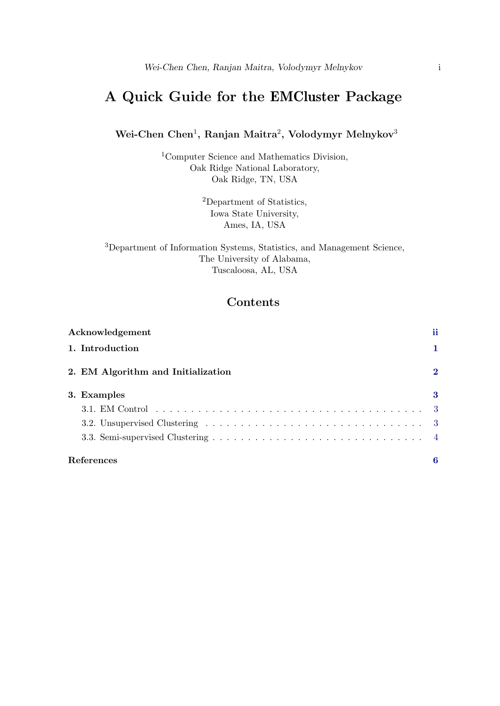# <span id="page-0-0"></span>A Quick Guide for the EMCluster Package

## Wei-Chen Chen<sup>1</sup>, Ranjan Maitra<sup>2</sup>, Volodymyr Melnykov<sup>3</sup>

<sup>1</sup>Computer Science and Mathematics Division, Oak Ridge National Laboratory, Oak Ridge, TN, USA

> <sup>2</sup>Department of Statistics, Iowa State University, Ames, IA, USA

<sup>3</sup>Department of Information Systems, Statistics, and Management Science, The University of Alabama, Tuscaloosa, AL, USA

# **Contents**

| Acknowledgement                    | ii          |
|------------------------------------|-------------|
| 1. Introduction                    | 1           |
| 2. EM Algorithm and Initialization | $\mathbf 2$ |
| 3. Examples                        | 3           |
|                                    |             |
|                                    |             |
|                                    |             |
| References                         | 6           |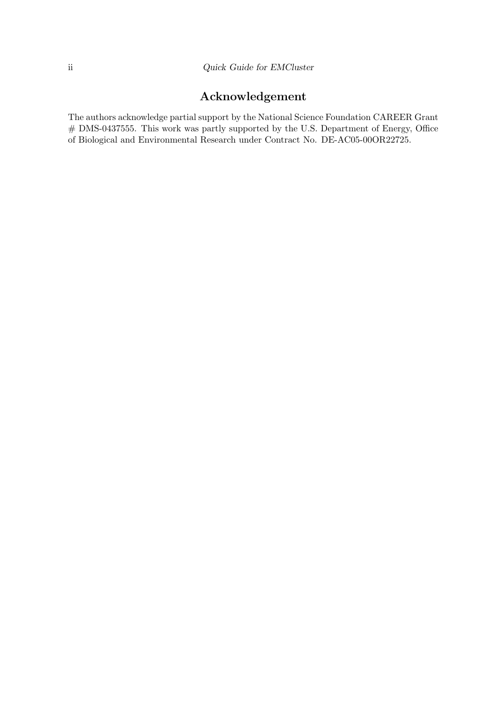# Acknowledgement

The authors acknowledge partial support by the National Science Foundation CAREER Grant # DMS-0437555. This work was partly supported by the U.S. Department of Energy, Office of Biological and Environmental Research under Contract No. DE-AC05-00OR22725.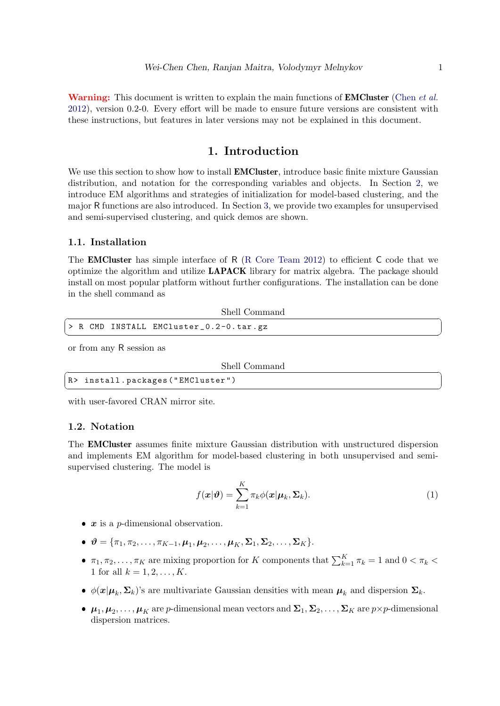**Warning:** This document is written to explain the main functions of **EMCluster** [\(Chen](#page-7-1) *et al.*) [2012\)](#page-7-1), version 0.2-0. Every effort will be made to ensure future versions are consistent with these instructions, but features in later versions may not be explained in this document.

# 1. Introduction

<span id="page-2-0"></span>We use this section to show how to install **EMCluster**, introduce basic finite mixture Gaussian distribution, and notation for the corresponding variables and objects. In Section [2,](#page-3-0) we introduce EM algorithms and strategies of initialization for model-based clustering, and the major R functions are also introduced. In Section [3,](#page-4-0) we provide two examples for unsupervised and semi-supervised clustering, and quick demos are shown.

#### 1.1. Installation

The **EMCluster** has simple interface of R [\(R Core Team](#page-7-2) [2012\)](#page-7-2) to efficient C code that we optimize the algorithm and utilize LAPACK library for matrix algebra. The package should install on most popular platform without further configurations. The installation can be done in the shell command as

| > R CMD INSTALL EMCluster_0.2-0.tar.gz |  |
|----------------------------------------|--|
|                                        |  |

or from any R session as

|  | Shell Command |
|--|---------------|
|--|---------------|

| Shell Command                     |
|-----------------------------------|
| R> install.packages ("EMCluster") |
|                                   |

with user-favored CRAN mirror site.

### 1.2. Notation

The EMCluster assumes finite mixture Gaussian distribution with unstructured dispersion and implements EM algorithm for model-based clustering in both unsupervised and semisupervised clustering. The model is

<span id="page-2-1"></span>
$$
f(\boldsymbol{x}|\boldsymbol{\vartheta}) = \sum_{k=1}^{K} \pi_k \phi(\boldsymbol{x}|\boldsymbol{\mu}_k, \boldsymbol{\Sigma}_k).
$$
 (1)

- $x$  is a *p*-dimensional observation.
- $\mathbf{\vartheta} = {\pi_1, \pi_2, ..., \pi_{K-1}, \mu_1, \mu_2, ..., \mu_K, \Sigma_1, \Sigma_2, ..., \Sigma_K}.$
- $\pi_1, \pi_2, \ldots, \pi_K$  are mixing proportion for K components that  $\sum_{k=1}^K \pi_k = 1$  and  $0 < \pi_k$ 1 for all  $k = 1, 2, ..., K$ .
- $\phi(\mathbf{x}|\boldsymbol{\mu}_k, \boldsymbol{\Sigma}_k)$ 's are multivariate Gaussian densities with mean  $\boldsymbol{\mu}_k$  and dispersion  $\boldsymbol{\Sigma}_k$ .
- $\bullet$   $\mu_1, \mu_2, \ldots, \mu_K$  are p-dimensional mean vectors and  $\Sigma_1, \Sigma_2, \ldots, \Sigma_K$  are  $p \times p$ -dimensional dispersion matrices.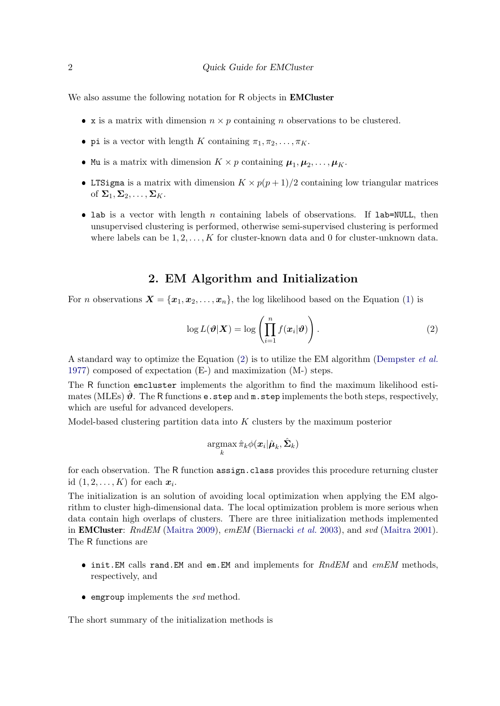We also assume the following notation for R objects in **EMCluster** 

- x is a matrix with dimension  $n \times p$  containing n observations to be clustered.
- pi is a vector with length K containing  $\pi_1, \pi_2, \ldots, \pi_K$ .
- Mu is a matrix with dimension  $K \times p$  containing  $\mu_1, \mu_2, \ldots, \mu_K$ .
- LTSigma is a matrix with dimension  $K \times p(p+1)/2$  containing low triangular matrices of  $\Sigma_1, \Sigma_2, \ldots, \Sigma_K$ .
- lab is a vector with length  $n$  containing labels of observations. If lab=NULL, then unsupervised clustering is performed, otherwise semi-supervised clustering is performed where labels can be  $1, 2, \ldots, K$  for cluster-known data and 0 for cluster-unknown data.

## 2. EM Algorithm and Initialization

<span id="page-3-0"></span>For *n* observations  $\mathbf{X} = {\mathbf{x}_1, \mathbf{x}_2, \dots, \mathbf{x}_n}$ , the log likelihood based on the Equation [\(1\)](#page-2-1) is

<span id="page-3-1"></span>
$$
\log L(\boldsymbol{\vartheta}|\boldsymbol{X}) = \log \left( \prod_{i=1}^{n} f(\boldsymbol{x}_i|\boldsymbol{\vartheta}) \right).
$$
 (2)

A standard way to optimize the Equation [\(2\)](#page-3-1) is to utilize the EM algorithm [\(Dempster](#page-7-3) et al. [1977\)](#page-7-3) composed of expectation (E-) and maximization (M-) steps.

The R function emcluster implements the algorithm to find the maximum likelihood estimates (MLEs)  $\hat{\theta}$ . The R functions e.step and m.step implements the both steps, respectively, which are useful for advanced developers.

Model-based clustering partition data into  $K$  clusters by the maximum posterior

$$
\operatornamewithlimits{argmax}_k \hat{\pi}_k \phi(\boldsymbol{x}_i|\hat{\boldsymbol{\mu}}_k,\hat{\boldsymbol{\Sigma}}_k)
$$

for each observation. The R function assign.class provides this procedure returning cluster id  $(1, 2, \ldots, K)$  for each  $x_i$ .

The initialization is an solution of avoiding local optimization when applying the EM algorithm to cluster high-dimensional data. The local optimization problem is more serious when data contain high overlaps of clusters. There are three initialization methods implemented in **EMCluster**: RndEM [\(Maitra](#page-7-6) [2009\)](#page-7-4), emEM [\(Biernacki](#page-7-5) et al. [2003\)](#page-7-5), and svd (Maitra [2001\)](#page-7-6). The R functions are

- $\bullet$  init.EM calls rand.EM and em.EM and implements for  $RndEM$  and  $emEM$  methods, respectively, and
- $\bullet$  emgroup implements the svd method.

The short summary of the initialization methods is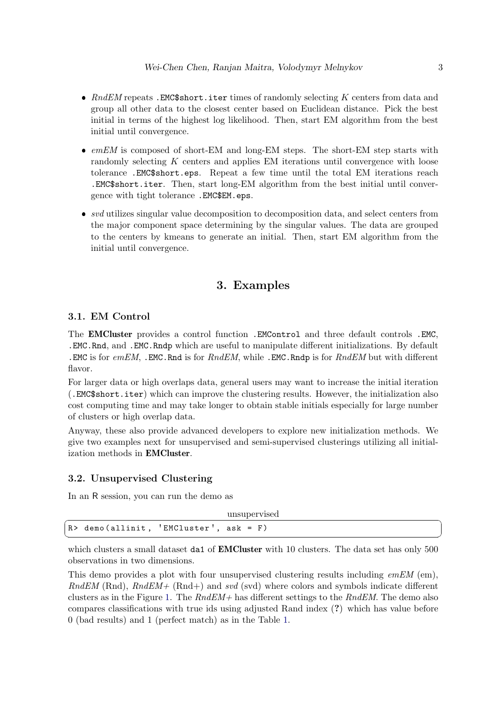- $RndEM$  repeats .EMC\$short.iter times of randomly selecting  $K$  centers from data and group all other data to the closest center based on Euclidean distance. Pick the best initial in terms of the highest log likelihood. Then, start EM algorithm from the best initial until convergence.
- emEM is composed of short-EM and long-EM steps. The short-EM step starts with randomly selecting K centers and applies EM iterations until convergence with loose tolerance .EMC\$short.eps. Repeat a few time until the total EM iterations reach .EMC\$short.iter. Then, start long-EM algorithm from the best initial until convergence with tight tolerance .EMC\$EM.eps.
- $\bullet$  svd utilizes singular value decomposition to decomposition data, and select centers from the major component space determining by the singular values. The data are grouped to the centers by kmeans to generate an initial. Then, start EM algorithm from the initial until convergence.

## 3. Examples

#### <span id="page-4-1"></span><span id="page-4-0"></span>3.1. EM Control

The EMCluster provides a control function .EMControl and three default controls .EMC, .EMC.Rnd, and .EMC.Rndp which are useful to manipulate different initializations. By default . EMC is for  $emEM$ , . EMC. Rnd is for  $RndEM$ , while . EMC. Rndp is for  $RndEM$  but with different flavor.

For larger data or high overlaps data, general users may want to increase the initial iteration (.EMC\$short.iter) which can improve the clustering results. However, the initialization also cost computing time and may take longer to obtain stable initials especially for large number of clusters or high overlap data.

Anyway, these also provide advanced developers to explore new initialization methods. We give two examples next for unsupervised and semi-supervised clusterings utilizing all initialization methods in EMCluster.

#### <span id="page-4-2"></span>3.2. Unsupervised Clustering

In an R session, you can run the demo as

| R> demo(allinit, 'EMCluster', ask = F) |  | unsupervised |  |
|----------------------------------------|--|--------------|--|
|                                        |  |              |  |

which clusters a small dataset da1 of **EMCluster** with 10 clusters. The data set has only 500 observations in two dimensions.

This demo provides a plot with four unsupervised clustering results including  $emEM$  (em),  $RndEM$  (Rnd),  $RndEM+$  (Rnd+) and svd (svd) where colors and symbols indicate different clusters as in the Figure [1.](#page-5-1) The  $RndEM+$  has different settings to the  $RndEM$ . The demo also compares classifications with true ids using adjusted Rand index (?) which has value before 0 (bad results) and 1 (perfect match) as in the Table [1.](#page-5-2)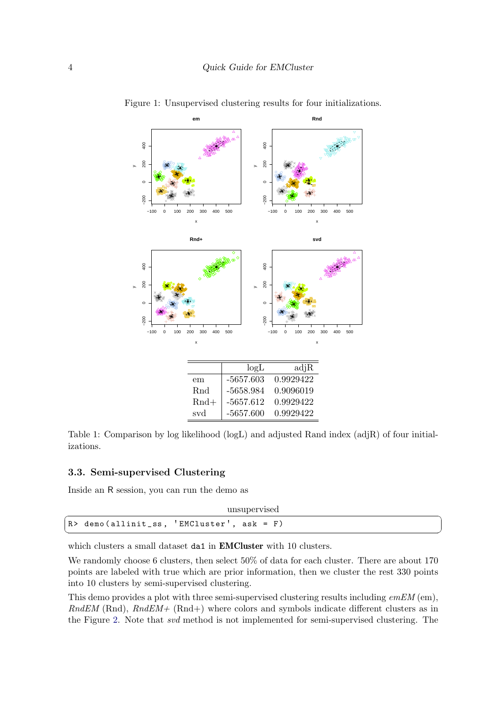<span id="page-5-1"></span>

Figure 1: Unsupervised clustering results for four initializations.

<span id="page-5-2"></span>Table 1: Comparison by log likelihood (logL) and adjusted Rand index (adjR) of four initializations.

### <span id="page-5-0"></span>3.3. Semi-supervised Clustering

Inside an R session, you can run the demo as

|  | unsupervised                              |
|--|-------------------------------------------|
|  | R> demo(allinit_ss, 'EMCluster', ask = F) |
|  |                                           |

which clusters a small dataset da1 in **EMCluster** with 10 clusters.

We randomly choose 6 clusters, then select  $50\%$  of data for each cluster. There are about 170 points are labeled with true which are prior information, then we cluster the rest 330 points into 10 clusters by semi-supervised clustering.

This demo provides a plot with three semi-supervised clustering results including  $emEM$  (em),  $RndEM$  (Rnd),  $RndEM+$  (Rnd+) where colors and symbols indicate different clusters as in the Figure [2.](#page-6-0) Note that svd method is not implemented for semi-supervised clustering. The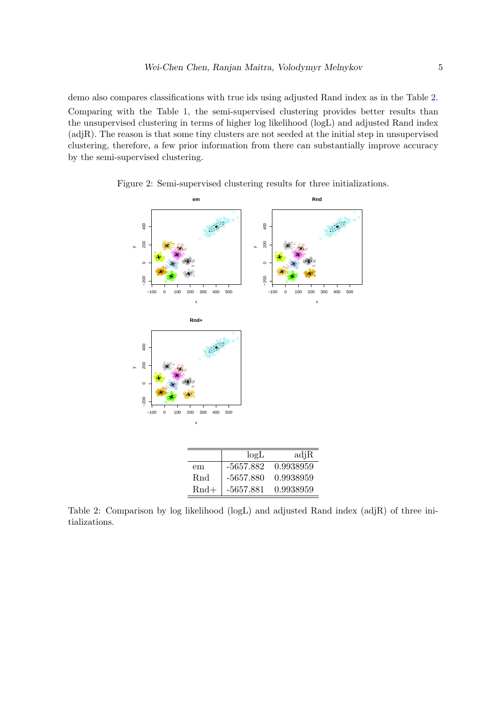demo also compares classifications with true ids using adjusted Rand index as in the Table [2.](#page-6-1) Comparing with the Table [1,](#page-5-2) the semi-supervised clustering provides better results than the unsupervised clustering in terms of higher log likelihood (logL) and adjusted Rand index (adjR). The reason is that some tiny clusters are not seeded at the initial step in unsupervised clustering, therefore, a few prior information from there can substantially improve accuracy by the semi-supervised clustering.

<span id="page-6-0"></span>

Figure 2: Semi-supervised clustering results for three initializations.

<span id="page-6-1"></span>Table 2: Comparison by log likelihood (logL) and adjusted Rand index (adjR) of three initializations.